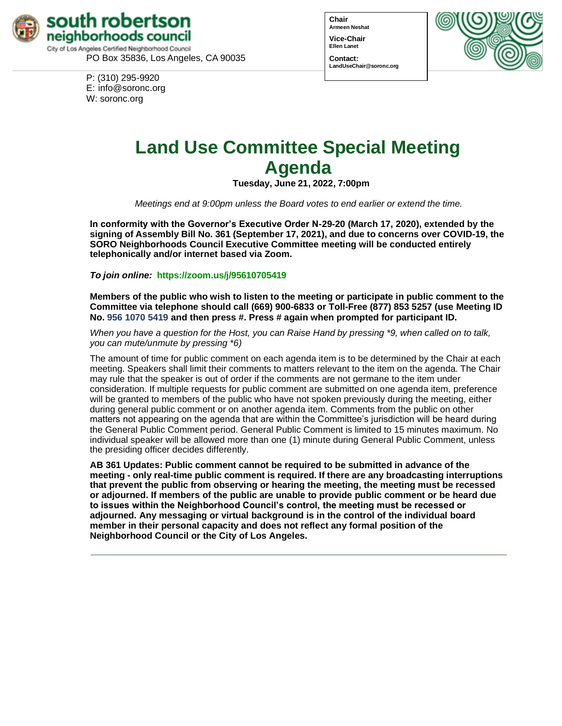

PO Box 35836, Los Angeles, CA 90035

P: (310) 295-9920 E: [info@soronc.org](mailto:info@soronc.org) W: soronc.org

**Chair Armeen Neshat Vice-Chair Ellen Lanet**



#### **Contact: [LandUseChair@soronc.org](mailto:LandUseChair@soronc.org)**

# **Land Use Committee Special Meeting Agenda**

**Tuesday, June 21, 2022, 7:00pm**

*Meetings end at 9:00pm unless the Board votes to end earlier or extend the time.*

**In conformity with the Governor's Executive Order N-29-20 (March 17, 2020), extended by the signing of Assembly Bill No. 361 (September 17, 2021), and due to concerns over COVID-19, the SORO Neighborhoods Council Executive Committee meeting will be conducted entirely telephonically and/or internet based via Zoom.**

*To join online:* **https://zoom.us/j/95610705419**

**Members of the public who wish to listen to the meeting or participate in public comment to the Committee via telephone should call (669) 900-6833 or Toll-Free (877) 853 5257 (use Meeting ID No. 956 1070 5419 and then press #. Press # again when prompted for participant ID.**

When you have a question for the Host, you can Raise Hand by pressing \*9, when called on to talk, *you can mute/unmute by pressing \*6)*

The amount of time for public comment on each agenda item is to be determined by the Chair at each meeting. Speakers shall limit their comments to matters relevant to the item on the agenda. The Chair may rule that the speaker is out of order if the comments are not germane to the item under consideration. If multiple requests for public comment are submitted on one agenda item, preference will be granted to members of the public who have not spoken previously during the meeting, either during general public comment or on another agenda item. Comments from the public on other matters not appearing on the agenda that are within the Committee's jurisdiction will be heard during the General Public Comment period. General Public Comment is limited to 15 minutes maximum. No individual speaker will be allowed more than one (1) minute during General Public Comment, unless the presiding officer decides differently.

**AB 361 Updates: Public comment cannot be required to be submitted in advance of the meeting - only real-time public comment is required. If there are any broadcasting interruptions that prevent the public from observing or hearing the meeting, the meeting must be recessed or adjourned. If members of the public are unable to provide public comment or be heard due to issues within the Neighborhood Council's control, the meeting must be recessed or adjourned. Any messaging or virtual background is in the control of the individual board member in their personal capacity and does not reflect any formal position of the Neighborhood Council or the City of Los Angeles.**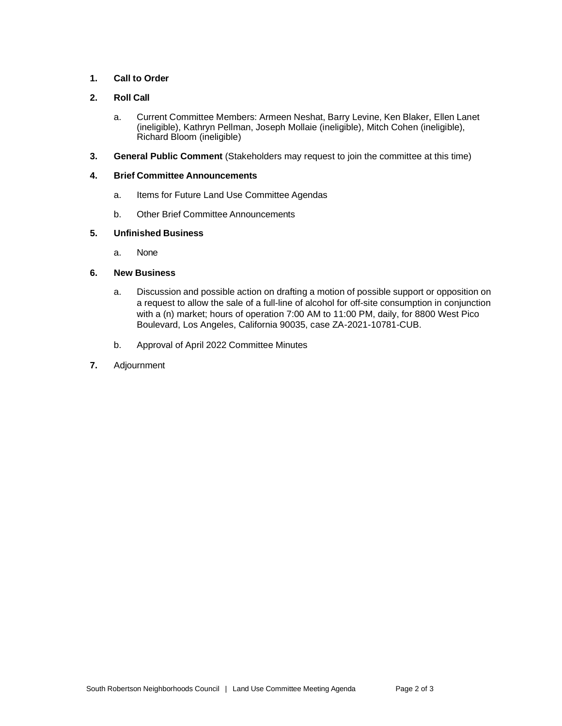# **1. Call to Order**

# **2. Roll Call**

- a. Current Committee Members: Armeen Neshat, Barry Levine, Ken Blaker, Ellen Lanet (ineligible), Kathryn Pellman, Joseph Mollaie (ineligible), Mitch Cohen (ineligible), Richard Bloom (ineligible)
- **3. General Public Comment** (Stakeholders may request to join the committee at this time)

#### **4. Brief Committee Announcements**

- a. Items for Future Land Use Committee Agendas
- b. Other Brief Committee Announcements

## **5. Unfinished Business**

a. None

## **6. New Business**

- a. Discussion and possible action on drafting a motion of possible support or opposition on a request to allow the sale of a full-line of alcohol for off-site consumption in conjunction with a (n) market; hours of operation 7:00 AM to 11:00 PM, daily, for 8800 West Pico Boulevard, Los Angeles, California 90035, case ZA-2021-10781-CUB.
- b. Approval of April 2022 Committee Minutes
- **7.** Adjournment